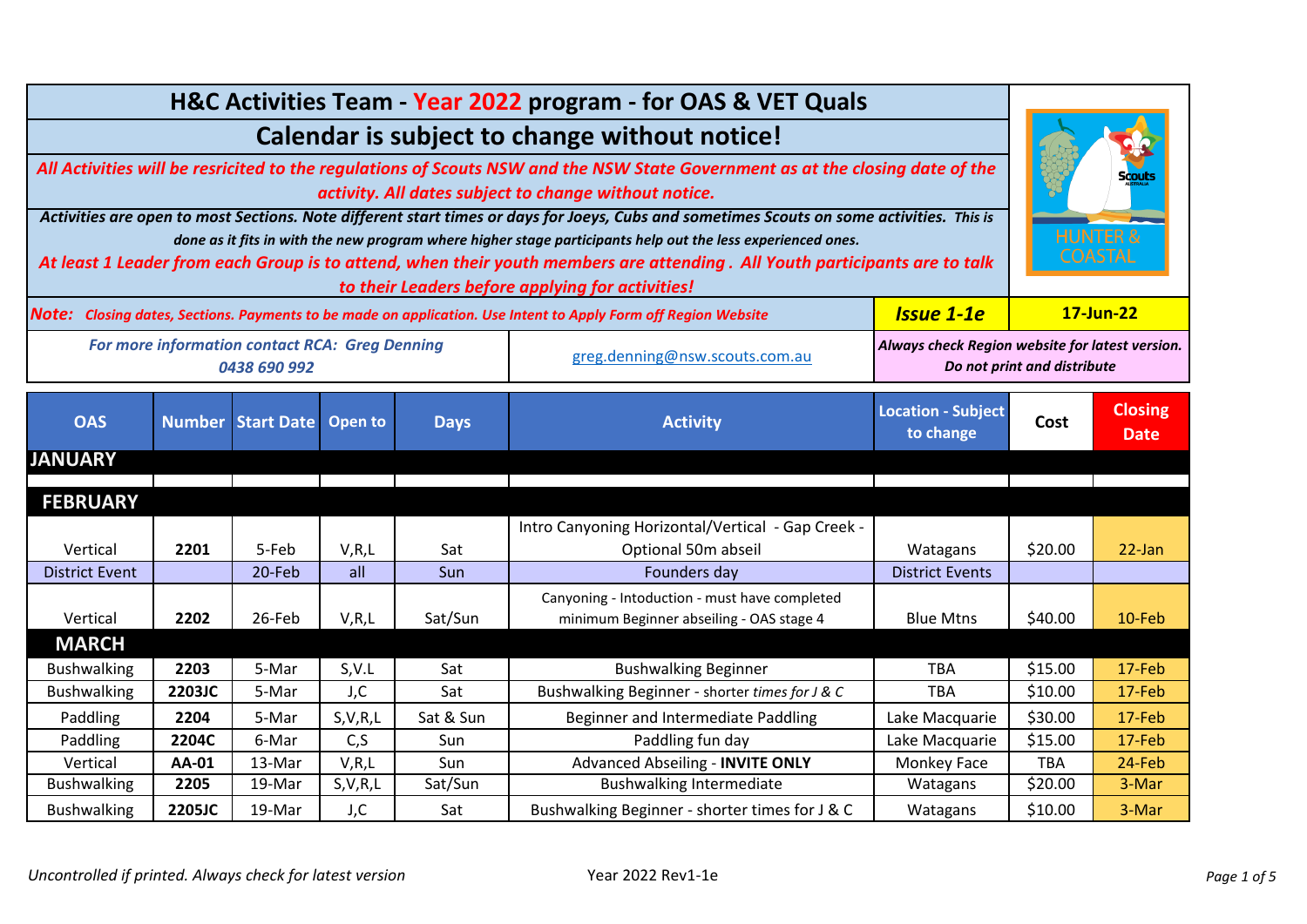| H&C Activities Team - Year 2022 program - for OAS & VET Quals                                                                             |              |                                                                       |                |             |                                                                                                                            |                                        |                                                                                |                                       |  |
|-------------------------------------------------------------------------------------------------------------------------------------------|--------------|-----------------------------------------------------------------------|----------------|-------------|----------------------------------------------------------------------------------------------------------------------------|----------------------------------------|--------------------------------------------------------------------------------|---------------------------------------|--|
| Calendar is subject to change without notice!                                                                                             |              |                                                                       |                |             |                                                                                                                            |                                        |                                                                                |                                       |  |
| All Activities will be resricited to the regulations of Scouts NSW and the NSW State Government as at the closing date of the             |              |                                                                       |                |             |                                                                                                                            |                                        |                                                                                |                                       |  |
| activity. All dates subject to change without notice.                                                                                     |              |                                                                       |                |             |                                                                                                                            |                                        |                                                                                |                                       |  |
| Activities are open to most Sections. Note different start times or days for Joeys, Cubs and sometimes Scouts on some activities. This is |              |                                                                       |                |             |                                                                                                                            |                                        |                                                                                |                                       |  |
| done as it fits in with the new program where higher stage participants help out the less experienced ones.                               |              |                                                                       |                |             |                                                                                                                            |                                        |                                                                                | <b>HUNTER &amp;</b><br><b>COASTAL</b> |  |
|                                                                                                                                           |              |                                                                       |                |             | At least 1 Leader from each Group is to attend, when their youth members are attending. All Youth participants are to talk |                                        |                                                                                |                                       |  |
|                                                                                                                                           |              |                                                                       |                |             | to their Leaders before applying for activities!                                                                           |                                        |                                                                                |                                       |  |
|                                                                                                                                           |              |                                                                       |                |             | Note: Closing dates, Sections. Payments to be made on application. Use Intent to Apply Form off Region Website             | <b>Issue 1-1e</b>                      | 17-Jun-22                                                                      |                                       |  |
|                                                                                                                                           |              | <b>For more information contact RCA: Greg Denning</b><br>0438 690 992 |                |             | greg.denning@nsw.scouts.com.au                                                                                             |                                        | Always check Region website for latest version.<br>Do not print and distribute |                                       |  |
| <b>OAS</b>                                                                                                                                |              | <b>Number Start Date</b>                                              | Open to        | <b>Days</b> | <b>Activity</b>                                                                                                            | <b>Location - Subject</b><br>to change | Cost                                                                           | <b>Closing</b><br><b>Date</b>         |  |
| <b>JANUARY</b>                                                                                                                            |              |                                                                       |                |             |                                                                                                                            |                                        |                                                                                |                                       |  |
|                                                                                                                                           |              |                                                                       |                |             |                                                                                                                            |                                        |                                                                                |                                       |  |
| <b>FEBRUARY</b>                                                                                                                           |              |                                                                       |                |             |                                                                                                                            |                                        |                                                                                |                                       |  |
|                                                                                                                                           |              |                                                                       |                |             | Intro Canyoning Horizontal/Vertical - Gap Creek -                                                                          |                                        |                                                                                |                                       |  |
| Vertical                                                                                                                                  | 2201         | 5-Feb                                                                 | V, R, L<br>all | Sat         | Optional 50m abseil                                                                                                        | Watagans                               | \$20.00                                                                        | 22-Jan                                |  |
| <b>District Event</b>                                                                                                                     |              | 20-Feb                                                                |                | Sun         | Founders day                                                                                                               | <b>District Events</b>                 |                                                                                |                                       |  |
| Vertical                                                                                                                                  | 2202         | 26-Feb                                                                | V, R, L        | Sat/Sun     | Canyoning - Intoduction - must have completed<br>minimum Beginner abseiling - OAS stage 4                                  | <b>Blue Mtns</b>                       | \$40.00                                                                        | 10-Feb                                |  |
| <b>MARCH</b>                                                                                                                              |              |                                                                       |                |             |                                                                                                                            |                                        |                                                                                |                                       |  |
| <b>Bushwalking</b>                                                                                                                        | 2203         | 5-Mar                                                                 | S.V.L          | Sat         | <b>Bushwalking Beginner</b>                                                                                                | <b>TBA</b>                             | \$15.00                                                                        | 17-Feb                                |  |
| <b>Bushwalking</b>                                                                                                                        | 2203JC       | 5-Mar                                                                 | J, C           | Sat         | Bushwalking Beginner - shorter times for J & C                                                                             | <b>TBA</b>                             | \$10.00                                                                        | 17-Feb                                |  |
| Paddling                                                                                                                                  | 2204         | 5-Mar                                                                 | S, V, R, L     | Sat & Sun   | Beginner and Intermediate Paddling                                                                                         | Lake Macquarie                         | \$30.00                                                                        | 17-Feb                                |  |
| Paddling                                                                                                                                  | 2204C        | 6-Mar                                                                 | C, S           | Sun         | Paddling fun day                                                                                                           | Lake Macquarie                         | \$15.00                                                                        | 17-Feb                                |  |
| Vertical                                                                                                                                  | <b>AA-01</b> | 13-Mar                                                                | V, R, L        | Sun         | Advanced Abseiling - INVITE ONLY                                                                                           | Monkey Face                            | <b>TBA</b>                                                                     | 24-Feb                                |  |
| <b>Bushwalking</b>                                                                                                                        | 2205         | 19-Mar                                                                | S, V, R, L     | Sat/Sun     | <b>Bushwalking Intermediate</b>                                                                                            | Watagans                               | \$20.00                                                                        | 3-Mar                                 |  |
| <b>Bushwalking</b>                                                                                                                        | 2205JC       | 19-Mar                                                                | J, C           | Sat         | Bushwalking Beginner - shorter times for J & C                                                                             | Watagans                               | \$10.00                                                                        | 3-Mar                                 |  |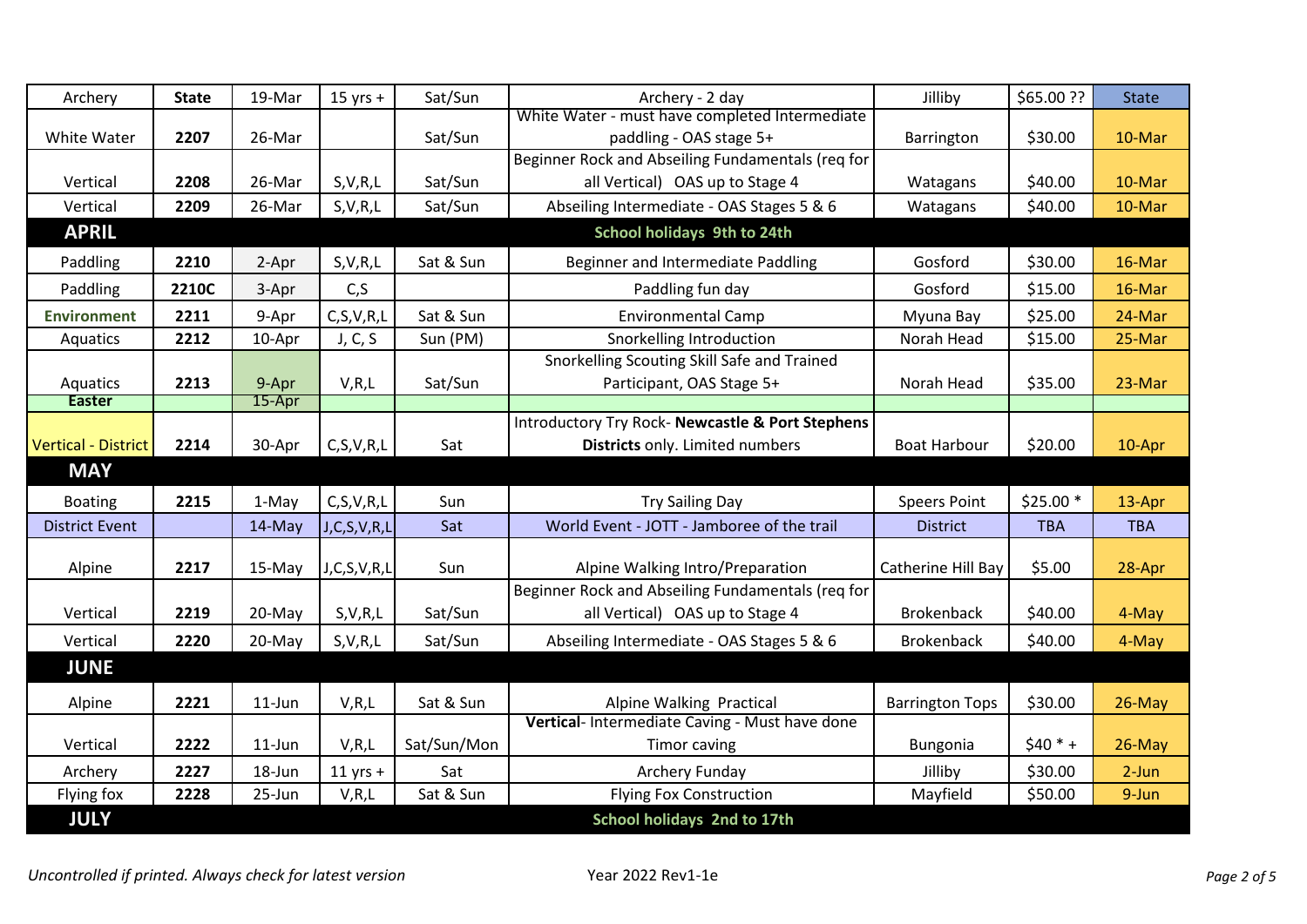| Archery                    | <b>State</b> | 19-Mar    | $15$ yrs +    | Sat/Sun     | Archery - 2 day                                   | Jilliby                | \$65.00 ?? | <b>State</b> |
|----------------------------|--------------|-----------|---------------|-------------|---------------------------------------------------|------------------------|------------|--------------|
|                            |              |           |               |             | White Water - must have completed Intermediate    |                        |            |              |
| White Water                | 2207         | 26-Mar    |               | Sat/Sun     | paddling - OAS stage 5+                           | Barrington             | \$30.00    | 10-Mar       |
|                            |              |           |               |             | Beginner Rock and Abseiling Fundamentals (req for |                        |            |              |
| Vertical                   | 2208         | 26-Mar    | S, V, R, L    | Sat/Sun     | all Vertical) OAS up to Stage 4                   | Watagans               | \$40.00    | 10-Mar       |
| Vertical                   | 2209         | 26-Mar    | S, V, R, L    | Sat/Sun     | Abseiling Intermediate - OAS Stages 5 & 6         | Watagans               | \$40.00    | 10-Mar       |
| <b>APRIL</b>               |              |           |               |             | School holidays 9th to 24th                       |                        |            |              |
| Paddling                   | 2210         | 2-Apr     | S, V, R, L    | Sat & Sun   | Beginner and Intermediate Paddling                | Gosford                | \$30.00    | 16-Mar       |
| Paddling                   | 2210C        | 3-Apr     | C, S          |             | Paddling fun day                                  | Gosford                | \$15.00    | 16-Mar       |
| <b>Environment</b>         | 2211         | 9-Apr     | C, S, V, R, L | Sat & Sun   | <b>Environmental Camp</b>                         | Myuna Bay              | \$25.00    | 24-Mar       |
| Aquatics                   | 2212         | 10-Apr    | J, C, S       | Sun (PM)    | Snorkelling Introduction                          | Norah Head             | \$15.00    | 25-Mar       |
|                            |              |           |               |             | Snorkelling Scouting Skill Safe and Trained       |                        |            |              |
| Aquatics                   | 2213         | 9-Apr     | V, R, L       | Sat/Sun     | Participant, OAS Stage 5+                         | Norah Head             | \$35.00    | 23-Mar       |
| Easter                     |              | 15-Apr    |               |             |                                                   |                        |            |              |
|                            |              |           |               |             | Introductory Try Rock- Newcastle & Port Stephens  |                        |            |              |
| <b>Vertical - District</b> | 2214         | 30-Apr    | C, S, V, R, L | Sat         | Districts only. Limited numbers                   | <b>Boat Harbour</b>    | \$20.00    | 10-Apr       |
| <b>MAY</b>                 |              |           |               |             |                                                   |                        |            |              |
| <b>Boating</b>             | 2215         | 1-May     | C, S, V, R, L | Sun         | <b>Try Sailing Day</b>                            | <b>Speers Point</b>    | $$25.00*$  | 13-Apr       |
| <b>District Event</b>      |              | 14-May    | J,C,S,V,R,L   | Sat         | World Event - JOTT - Jamboree of the trail        | <b>District</b>        | <b>TBA</b> | <b>TBA</b>   |
|                            |              |           |               |             |                                                   |                        |            |              |
| Alpine                     | 2217         | 15-May    | J,C,S,V,R,L   | Sun         | Alpine Walking Intro/Preparation                  | Catherine Hill Bay     | \$5.00     | 28-Apr       |
|                            |              |           |               |             | Beginner Rock and Abseiling Fundamentals (reg for |                        |            |              |
| Vertical                   | 2219         | 20-May    | S, V, R, L    | Sat/Sun     | all Vertical) OAS up to Stage 4                   | <b>Brokenback</b>      | \$40.00    | 4-May        |
| Vertical                   | 2220         | 20-May    | S, V, R, L    | Sat/Sun     | Abseiling Intermediate - OAS Stages 5 & 6         | <b>Brokenback</b>      | \$40.00    | 4-May        |
| <b>JUNE</b>                |              |           |               |             |                                                   |                        |            |              |
| Alpine                     | 2221         | $11$ -Jun | V, R, L       | Sat & Sun   | Alpine Walking Practical                          | <b>Barrington Tops</b> | \$30.00    | $26$ -May    |
|                            |              |           |               |             | Vertical- Intermediate Caving - Must have done    |                        |            |              |
| Vertical                   | 2222         | $11$ -Jun | V, R, L       | Sat/Sun/Mon | <b>Timor caving</b>                               | Bungonia               | $$40 * +$  | 26-May       |
| Archery                    | 2227         | 18-Jun    | $11$ yrs +    | Sat         | Archery Funday                                    | Jilliby                | \$30.00    | $2-Jun$      |
| Flying fox                 | 2228         | 25-Jun    | V, R, L       | Sat & Sun   | <b>Flying Fox Construction</b>                    | Mayfield               | \$50.00    | 9-Jun        |
| <b>JULY</b>                |              |           |               |             | School holidays 2nd to 17th                       |                        |            |              |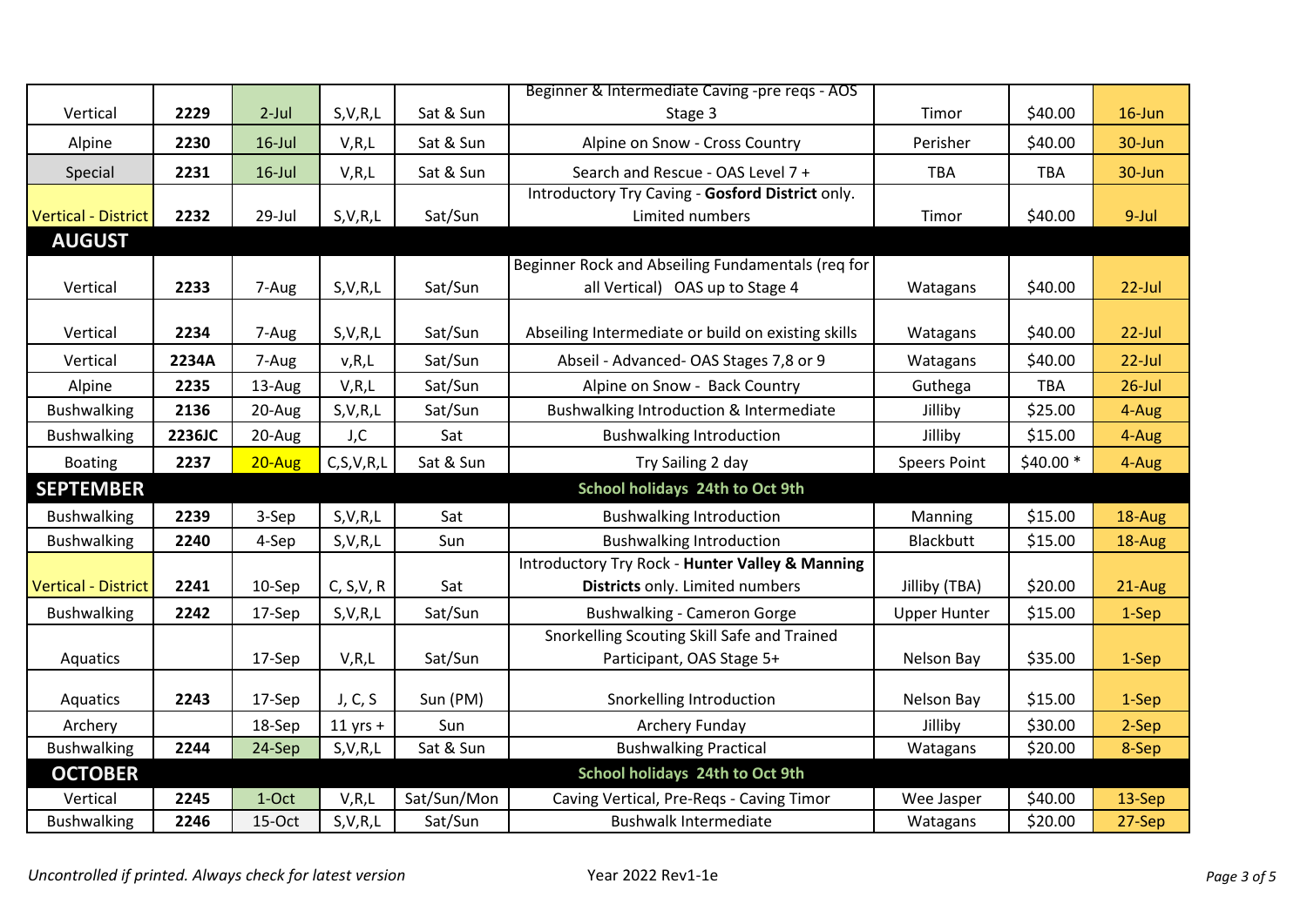|                            |        |            |               |             | Beginner & Intermediate Caving -pre reqs - AOS     |                     |            |           |
|----------------------------|--------|------------|---------------|-------------|----------------------------------------------------|---------------------|------------|-----------|
| Vertical                   | 2229   | $2$ -Jul   | S, V, R, L    | Sat & Sun   | Stage 3                                            | Timor               | \$40.00    | 16-Jun    |
| Alpine                     | 2230   | $16$ -Jul  | V, R, L       | Sat & Sun   | Alpine on Snow - Cross Country                     | Perisher            | \$40.00    | 30-Jun    |
| Special                    | 2231   | $16$ -Jul  | V, R, L       | Sat & Sun   | Search and Rescue - OAS Level 7 +                  | <b>TBA</b>          | <b>TBA</b> | 30-Jun    |
|                            |        |            |               |             | Introductory Try Caving - Gosford District only.   |                     |            |           |
| <b>Vertical - District</b> | 2232   | 29-Jul     | S, V, R, L    | Sat/Sun     | Limited numbers                                    | Timor               | \$40.00    | 9-Jul     |
| <b>AUGUST</b>              |        |            |               |             |                                                    |                     |            |           |
|                            |        |            |               |             | Beginner Rock and Abseiling Fundamentals (req for  |                     |            |           |
| Vertical                   | 2233   | 7-Aug      | S, V, R, L    | Sat/Sun     | all Vertical) OAS up to Stage 4                    | Watagans            | \$40.00    | $22$ -Jul |
|                            |        |            |               |             |                                                    |                     |            |           |
| Vertical                   | 2234   | 7-Aug      | S, V, R, L    | Sat/Sun     | Abseiling Intermediate or build on existing skills | Watagans            | \$40.00    | $22$ -Jul |
| Vertical                   | 2234A  | 7-Aug      | v, R, L       | Sat/Sun     | Abseil - Advanced- OAS Stages 7,8 or 9             | Watagans            | \$40.00    | $22$ -Jul |
| Alpine                     | 2235   | 13-Aug     | V, R, L       | Sat/Sun     | Alpine on Snow - Back Country                      | Guthega             | <b>TBA</b> | $26$ -Jul |
| <b>Bushwalking</b>         | 2136   | 20-Aug     | S, V, R, L    | Sat/Sun     | Bushwalking Introduction & Intermediate            | Jilliby             | \$25.00    | 4-Aug     |
| <b>Bushwalking</b>         | 2236JC | 20-Aug     | J,C           | Sat         | <b>Bushwalking Introduction</b>                    | Jilliby             | \$15.00    | 4-Aug     |
| <b>Boating</b>             | 2237   | $20 - Aug$ | C, S, V, R, L | Sat & Sun   | Try Sailing 2 day                                  | <b>Speers Point</b> | \$40.00 *  | 4-Aug     |
| <b>SEPTEMBER</b>           |        |            |               |             | School holidays 24th to Oct 9th                    |                     |            |           |
| <b>Bushwalking</b>         | 2239   | 3-Sep      | S, V, R, L    | Sat         | <b>Bushwalking Introduction</b>                    | Manning             | \$15.00    | 18-Aug    |
| <b>Bushwalking</b>         | 2240   | 4-Sep      | S, V, R, L    | Sun         | <b>Bushwalking Introduction</b>                    | Blackbutt           | \$15.00    | 18-Aug    |
|                            |        |            |               |             | Introductory Try Rock - Hunter Valley & Manning    |                     |            |           |
| <b>Vertical - District</b> | 2241   | 10-Sep     | C, S, V, R    | Sat         | Districts only. Limited numbers                    | Jilliby (TBA)       | \$20.00    | 21-Aug    |
| <b>Bushwalking</b>         | 2242   | 17-Sep     | S, V, R, L    | Sat/Sun     | <b>Bushwalking - Cameron Gorge</b>                 | <b>Upper Hunter</b> | \$15.00    | 1-Sep     |
|                            |        |            |               |             | Snorkelling Scouting Skill Safe and Trained        |                     |            |           |
| Aquatics                   |        | 17-Sep     | V, R, L       | Sat/Sun     | Participant, OAS Stage 5+                          | Nelson Bay          | \$35.00    | 1-Sep     |
|                            |        |            |               |             |                                                    |                     |            |           |
| Aquatics                   | 2243   | 17-Sep     | J, C, S       | Sun (PM)    | Snorkelling Introduction                           | Nelson Bay          | \$15.00    | 1-Sep     |
| Archery                    |        | 18-Sep     | $11$ yrs +    | Sun         | <b>Archery Funday</b>                              | Jilliby             | \$30.00    | 2-Sep     |
| <b>Bushwalking</b>         | 2244   | 24-Sep     | S, V, R, L    | Sat & Sun   | <b>Bushwalking Practical</b>                       | Watagans            | \$20.00    | 8-Sep     |
| <b>OCTOBER</b>             |        |            |               |             | School holidays 24th to Oct 9th                    |                     |            |           |
| Vertical                   | 2245   | 1-Oct      | V, R, L       | Sat/Sun/Mon | Caving Vertical, Pre-Regs - Caving Timor           | Wee Jasper          | \$40.00    | 13-Sep    |
| <b>Bushwalking</b>         | 2246   | 15-Oct     | S, V, R, L    | Sat/Sun     | <b>Bushwalk Intermediate</b>                       | Watagans            | \$20.00    | 27-Sep    |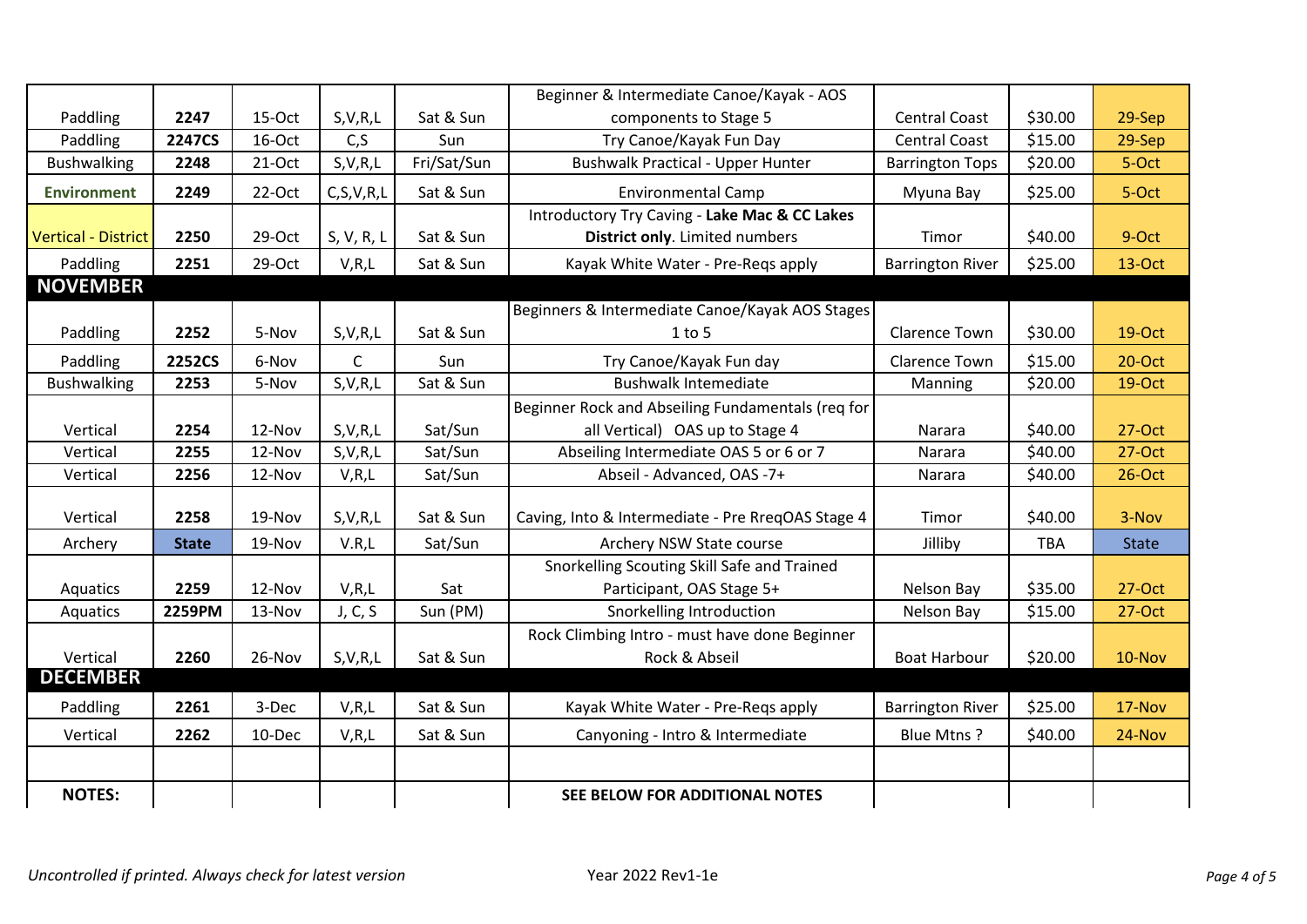|                     |               |          |               |             | Beginner & Intermediate Canoe/Kayak - AOS         |                         |            |              |
|---------------------|---------------|----------|---------------|-------------|---------------------------------------------------|-------------------------|------------|--------------|
| Paddling            | 2247          | 15-Oct   | S, V, R, L    | Sat & Sun   | components to Stage 5                             | <b>Central Coast</b>    | \$30.00    | 29-Sep       |
| Paddling            | 2247CS        | 16-Oct   | C, S          | Sun         | Try Canoe/Kayak Fun Day                           | <b>Central Coast</b>    | \$15.00    | 29-Sep       |
| <b>Bushwalking</b>  | 2248          | $21-Oct$ | S, V, R, L    | Fri/Sat/Sun | <b>Bushwalk Practical - Upper Hunter</b>          | <b>Barrington Tops</b>  | \$20.00    | 5-Oct        |
| <b>Environment</b>  | 2249          | 22-Oct   | C, S, V, R, L | Sat & Sun   | <b>Environmental Camp</b>                         | Myuna Bay               | \$25.00    | 5-Oct        |
|                     |               |          |               |             | Introductory Try Caving - Lake Mac & CC Lakes     |                         |            |              |
| Vertical - District | 2250          | 29-Oct   | S, V, R, L    | Sat & Sun   | District only. Limited numbers                    | Timor                   | \$40.00    | 9-Oct        |
| Paddling            | 2251          | 29-Oct   | V, R, L       | Sat & Sun   | Kayak White Water - Pre-Regs apply                | <b>Barrington River</b> | \$25.00    | 13-Oct       |
| <b>NOVEMBER</b>     |               |          |               |             |                                                   |                         |            |              |
|                     |               |          |               |             | Beginners & Intermediate Canoe/Kayak AOS Stages   |                         |            |              |
| Paddling            | 2252          | 5-Nov    | S, V, R, L    | Sat & Sun   | $1$ to $5$                                        | <b>Clarence Town</b>    | \$30.00    | 19-Oct       |
| Paddling            | <b>2252CS</b> | 6-Nov    | $\mathsf{C}$  | Sun         | Try Canoe/Kayak Fun day                           | <b>Clarence Town</b>    | \$15.00    | $20$ -Oct    |
| <b>Bushwalking</b>  | 2253          | 5-Nov    | S, V, R, L    | Sat & Sun   | <b>Bushwalk Intemediate</b>                       | Manning                 | \$20.00    | 19-Oct       |
|                     |               |          |               |             | Beginner Rock and Abseiling Fundamentals (req for |                         |            |              |
| Vertical            | 2254          | 12-Nov   | S, V, R, L    | Sat/Sun     | all Vertical) OAS up to Stage 4                   | Narara                  | \$40.00    | 27-Oct       |
| Vertical            | 2255          | 12-Nov   | S, V, R, L    | Sat/Sun     | Abseiling Intermediate OAS 5 or 6 or 7            | Narara                  | \$40.00    | 27-Oct       |
| Vertical            | 2256          | 12-Nov   | V, R, L       | Sat/Sun     | Abseil - Advanced, OAS -7+                        | Narara                  | \$40.00    | $26$ -Oct    |
|                     |               |          |               |             |                                                   |                         |            |              |
| Vertical            | 2258          | 19-Nov   | S, V, R, L    | Sat & Sun   | Caving, Into & Intermediate - Pre RreqOAS Stage 4 | Timor                   | \$40.00    | 3-Nov        |
| Archery             | <b>State</b>  | 19-Nov   | V.R,L         | Sat/Sun     | Archery NSW State course                          | Jilliby                 | <b>TBA</b> | <b>State</b> |
|                     |               |          |               |             | Snorkelling Scouting Skill Safe and Trained       |                         |            |              |
| Aquatics            | 2259          | 12-Nov   | V, R, L       | Sat         | Participant, OAS Stage 5+                         | Nelson Bay              | \$35.00    | 27-Oct       |
| Aquatics            | 2259PM        | 13-Nov   | J, C, S       | Sun (PM)    | Snorkelling Introduction                          | Nelson Bay              | \$15.00    | $27-Oct$     |
|                     |               |          |               |             | Rock Climbing Intro - must have done Beginner     |                         |            |              |
| Vertical            | 2260          | 26-Nov   | S, V, R, L    | Sat & Sun   | Rock & Abseil                                     | <b>Boat Harbour</b>     | \$20.00    | 10-Nov       |
| <b>DECEMBER</b>     |               |          |               |             |                                                   |                         |            |              |
| Paddling            | 2261          | 3-Dec    | V, R, L       | Sat & Sun   | Kayak White Water - Pre-Regs apply                | <b>Barrington River</b> | \$25.00    | 17-Nov       |
| Vertical            | 2262          | 10-Dec   | V, R, L       | Sat & Sun   | Canyoning - Intro & Intermediate                  | Blue Mtns?              | \$40.00    | 24-Nov       |
|                     |               |          |               |             |                                                   |                         |            |              |
| <b>NOTES:</b>       |               |          |               |             | SEE BELOW FOR ADDITIONAL NOTES                    |                         |            |              |